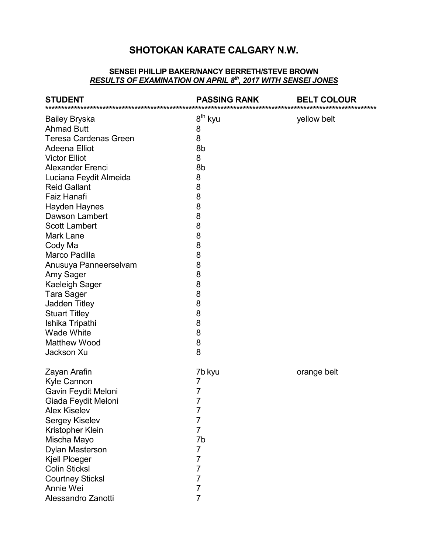## SHOTOKAN KARATE CALGARY N.W.

#### SENSEI PHILLIP BAKER/NANCY BERRETH/STEVE BROWN RESULTS OF EXAMINATION ON APRIL 8th, 2017 WITH SENSEI JONES

| <b>STUDENT</b>               | <b>PASSING RANK</b> | <b>BELT COLOUR</b> |
|------------------------------|---------------------|--------------------|
| <b>Bailey Bryska</b>         | 8 <sup>th</sup> kyu | yellow belt        |
| <b>Ahmad Butt</b>            | 8                   |                    |
| <b>Teresa Cardenas Green</b> | 8                   |                    |
| <b>Adeena Elliot</b>         | 8b                  |                    |
| <b>Victor Elliot</b>         | 8                   |                    |
| <b>Alexander Erenci</b>      | 8b                  |                    |
| Luciana Feydit Almeida       | 8                   |                    |
| <b>Reid Gallant</b>          | 8                   |                    |
| Faiz Hanafi                  | 8                   |                    |
| <b>Hayden Haynes</b>         | 8                   |                    |
| <b>Dawson Lambert</b>        | 8                   |                    |
| <b>Scott Lambert</b>         | 8                   |                    |
| <b>Mark Lane</b>             | 8                   |                    |
| Cody Ma                      | 8                   |                    |
| Marco Padilla                | 8                   |                    |
| Anusuya Panneerselvam        | 8                   |                    |
| Amy Sager                    | 8                   |                    |
| <b>Kaeleigh Sager</b>        | 8                   |                    |
| <b>Tara Sager</b>            | 8                   |                    |
| <b>Jadden Titley</b>         | 8                   |                    |
| <b>Stuart Titley</b>         | 8                   |                    |
| Ishika Tripathi              | 8                   |                    |
| <b>Wade White</b>            | 8                   |                    |
| <b>Matthew Wood</b>          | 8                   |                    |
| Jackson Xu                   | 8                   |                    |
| Zayan Arafin                 | 7b kyu              | orange belt        |
| Kyle Cannon                  | 7                   |                    |
| Gavin Feydit Meloni          | 7                   |                    |
| Giada Feydit Meloni          | 7                   |                    |
| Alex Kiselev                 |                     |                    |
| Sergey Kiselev               | 7                   |                    |
| Kristopher Klein             | 7                   |                    |
| Mischa Mayo                  | 7b                  |                    |
| Dylan Masterson              | 7                   |                    |
| Kjell Ploeger                | 7                   |                    |
| <b>Colin Sticksl</b>         | 7                   |                    |
| <b>Courtney Sticksl</b>      | 7                   |                    |
| Annie Wei                    | 7                   |                    |
| Alessandro Zanotti           | 7                   |                    |